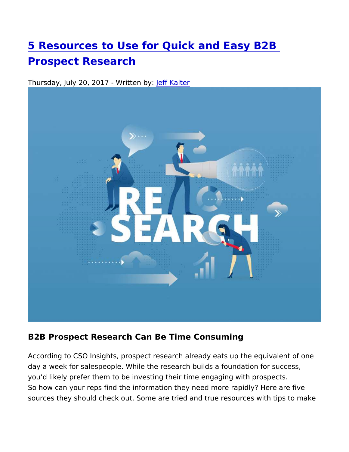[5 Resources to Use for Quick and](https://www.3d2b.com/blog/marketing-services-systems/data-services-list-management/5-resources-to-use-for-quick-and-easy) Easy B2B [Prospect Resea](https://www.3d2b.com/blog/marketing-services-systems/data-services-list-management/5-resources-to-use-for-quick-and-easy)rch

Thursday, July 20, 2017 - [W](https://www.3d2b.com/blog/jeff-kalter.html)erfift the altbeyr:

B2B Prospect Research Can Be Time Consuming

According to CSO Insights, prospect research already eats up the day a week for salespeople. While the research builds a foundation you d likely prefer them to be investing their time engaging with So how can your reps find the information they need more rapidly sources they should check out. Some are tried and true resources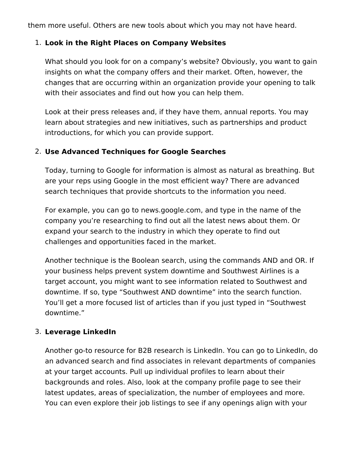them more useful. Others are new tools about which you may not have heard.

### 1. **Look in the Right Places on Company Websites**

What should you look for on a company's website? Obviously, you want to gain insights on what the company offers and their market. Often, however, the changes that are occurring within an organization provide your opening to talk with their associates and find out how you can help them.

Look at their press releases and, if they have them, annual reports. You may learn about strategies and new initiatives, such as partnerships and product introductions, for which you can provide support.

#### 2. **Use Advanced Techniques for Google Searches**

Today, turning to Google for information is almost as natural as breathing. But are your reps using Google in the most efficient way? There are advanced search techniques that provide shortcuts to the information you need.

For example, you can go to news.google.com, and type in the name of the company you're researching to find out all the latest news about them. Or expand your search to the industry in which they operate to find out challenges and opportunities faced in the market.

Another technique is the Boolean search, using the commands AND and OR. If your business helps prevent system downtime and Southwest Airlines is a target account, you might want to see information related to Southwest and downtime. If so, type "Southwest AND downtime" into the search function. You'll get a more focused list of articles than if you just typed in "Southwest downtime."

### 3. **Leverage LinkedIn**

Another go-to resource for B2B research is LinkedIn. You can go to LinkedIn, do an advanced search and find associates in relevant departments of companies at your target accounts. Pull up individual profiles to learn about their backgrounds and roles. Also, look at the company profile page to see their latest updates, areas of specialization, the number of employees and more. You can even explore their job listings to see if any openings align with your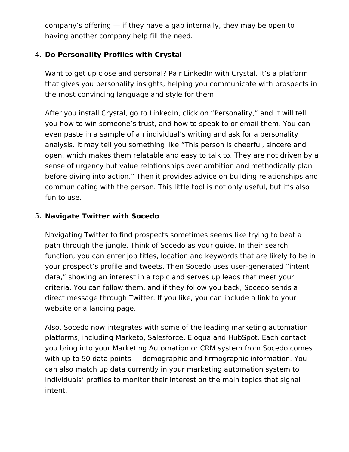company's offering — if they have a gap internally, they may be open to having another company help fill the need.

# 4. **Do Personality Profiles with Crystal**

Want to get up close and personal? Pair LinkedIn with Crystal. It's a platform that gives you personality insights, helping you communicate with prospects in the most convincing language and style for them.

After you install Crystal, go to LinkedIn, click on "Personality," and it will tell you how to win someone's trust, and how to speak to or email them. You can even paste in a sample of an individual's writing and ask for a personality analysis. It may tell you something like "This person is cheerful, sincere and open, which makes them relatable and easy to talk to. They are not driven by a sense of urgency but value relationships over ambition and methodically plan before diving into action." Then it provides advice on building relationships and communicating with the person. This little tool is not only useful, but it's also fun to use.

## 5. **Navigate Twitter with Socedo**

Navigating Twitter to find prospects sometimes seems like trying to beat a path through the jungle. Think of Socedo as your guide. In their search function, you can enter job titles, location and keywords that are likely to be in your prospect's profile and tweets. Then Socedo uses user-generated "intent data," showing an interest in a topic and serves up leads that meet your criteria. You can follow them, and if they follow you back, Socedo sends a direct message through Twitter. If you like, you can include a link to your website or a landing page.

Also, Socedo now integrates with some of the leading marketing automation platforms, including Marketo, Salesforce, Eloqua and HubSpot. Each contact you bring into your Marketing Automation or CRM system from Socedo comes with up to 50 data points — demographic and firmographic information. You can also match up data currently in your marketing automation system to individuals' profiles to monitor their interest on the main topics that signal intent.